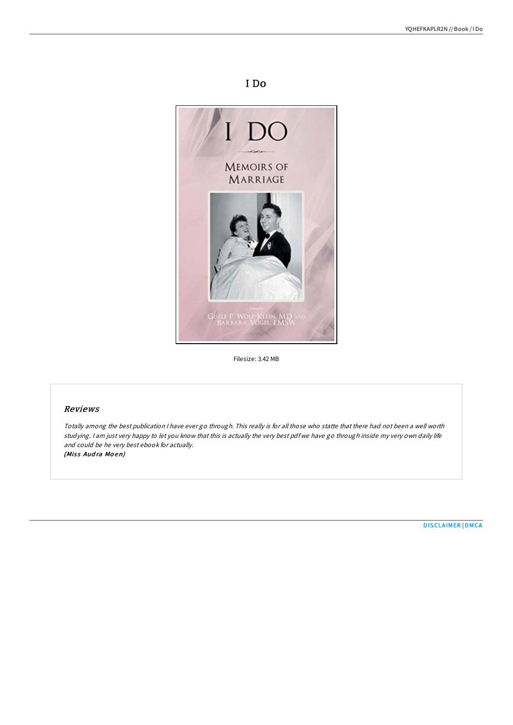# I Do



Filesize: 3.42 MB

# Reviews

Totally among the best publication <sup>I</sup> have ever go through. This really is for all those who statte that there had not been <sup>a</sup> well worth studying. <sup>I</sup> am just very happy to let you know that this is actually the very best pdf we have go through inside my very own daily life and could be he very best ebook for actually. (Miss Audra Moen)

[DISCLAIMER](http://almighty24.tech/disclaimer.html) | [DMCA](http://almighty24.tech/dmca.html)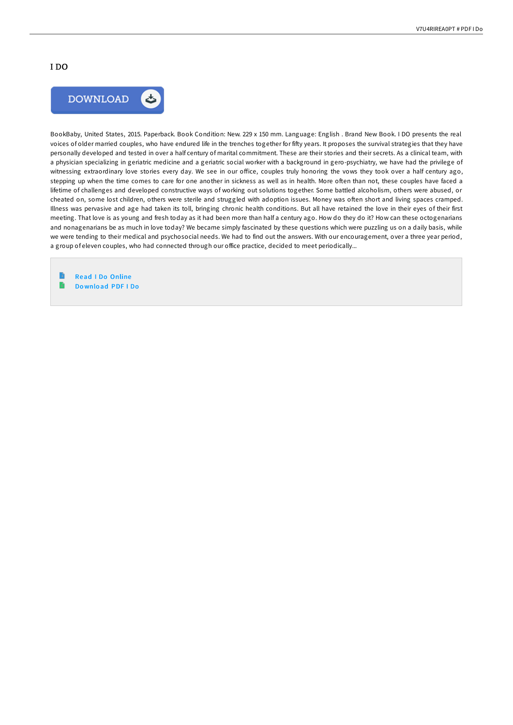### I DO



BookBaby, United States, 2015. Paperback. Book Condition: New. 229 x 150 mm. Language: English . Brand New Book. I DO presents the real voices of older married couples, who have endured life in the trenches together for fifty years. It proposes the survival strategies that they have personally developed and tested in over a half century of marital commitment. These are their stories and their secrets. As a clinical team, with a physician specializing in geriatric medicine and a geriatric social worker with a background in gero-psychiatry, we have had the privilege of witnessing extraordinary love stories every day. We see in our office, couples truly honoring the vows they took over a half century ago, stepping up when the time comes to care for one another in sickness as well as in health. More often than not, these couples have faced a lifetime of challenges and developed constructive ways of working out solutions together. Some battled alcoholism, others were abused, or cheated on, some lost children, others were sterile and struggled with adoption issues. Money was often short and living spaces cramped. Illness was pervasive and age had taken its toll, bringing chronic health conditions. But all have retained the love in their eyes of their first meeting. That love is as young and fresh today as it had been more than half a century ago. How do they do it? How can these octogenarians and nonagenarians be as much in love today? We became simply fascinated by these questions which were puzzling us on a daily basis, while we were tending to their medical and psychosocial needs. We had to find out the answers. With our encouragement, over a three year period, a group of eleven couples, who had connected through our office practice, decided to meet periodically...

Read I Do [Online](http://almighty24.tech/i-do-paperback.html) e Do [wnlo](http://almighty24.tech/i-do-paperback.html) ad PDF I Do